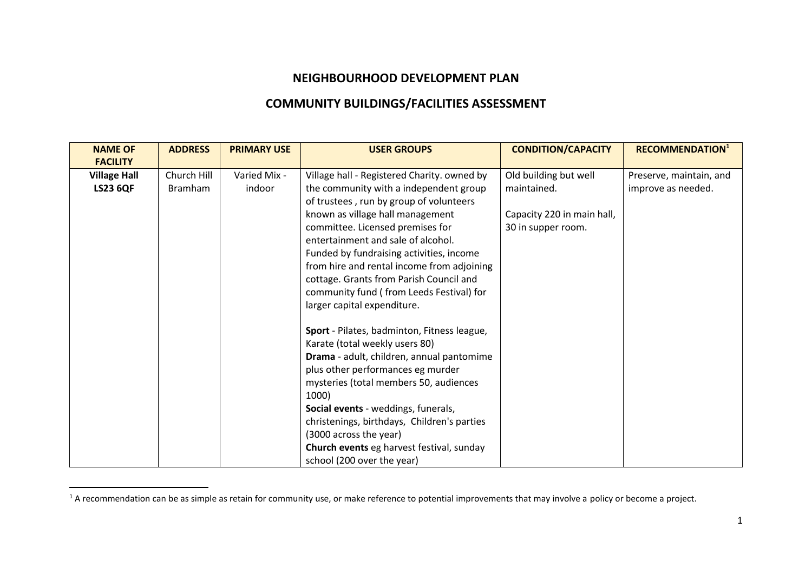## **NEIGHBOURHOOD DEVELOPMENT PLAN**

## **COMMUNITY BUILDINGS/FACILITIES ASSESSMENT**

| <b>NAME OF</b>      | <b>ADDRESS</b> | <b>PRIMARY USE</b> | <b>USER GROUPS</b>                          | <b>CONDITION/CAPACITY</b>  | <b>RECOMMENDATION1</b>  |
|---------------------|----------------|--------------------|---------------------------------------------|----------------------------|-------------------------|
| <b>FACILITY</b>     |                |                    |                                             |                            |                         |
| <b>Village Hall</b> | Church Hill    | Varied Mix -       | Village hall - Registered Charity. owned by | Old building but well      | Preserve, maintain, and |
| <b>LS23 6QF</b>     | <b>Bramham</b> | indoor             | the community with a independent group      | maintained.                | improve as needed.      |
|                     |                |                    | of trustees, run by group of volunteers     |                            |                         |
|                     |                |                    | known as village hall management            | Capacity 220 in main hall, |                         |
|                     |                |                    | committee. Licensed premises for            | 30 in supper room.         |                         |
|                     |                |                    | entertainment and sale of alcohol.          |                            |                         |
|                     |                |                    | Funded by fundraising activities, income    |                            |                         |
|                     |                |                    | from hire and rental income from adjoining  |                            |                         |
|                     |                |                    | cottage. Grants from Parish Council and     |                            |                         |
|                     |                |                    | community fund (from Leeds Festival) for    |                            |                         |
|                     |                |                    | larger capital expenditure.                 |                            |                         |
|                     |                |                    |                                             |                            |                         |
|                     |                |                    | Sport - Pilates, badminton, Fitness league, |                            |                         |
|                     |                |                    | Karate (total weekly users 80)              |                            |                         |
|                     |                |                    | Drama - adult, children, annual pantomime   |                            |                         |
|                     |                |                    | plus other performances eg murder           |                            |                         |
|                     |                |                    | mysteries (total members 50, audiences      |                            |                         |
|                     |                |                    | 1000)                                       |                            |                         |
|                     |                |                    | Social events - weddings, funerals,         |                            |                         |
|                     |                |                    | christenings, birthdays, Children's parties |                            |                         |
|                     |                |                    | (3000 across the year)                      |                            |                         |
|                     |                |                    | Church events eg harvest festival, sunday   |                            |                         |
|                     |                |                    | school (200 over the year)                  |                            |                         |

 $^1$  A recommendation can be as simple as retain for community use, or make reference to potential improvements that may involve a policy or become a project.

 $\overline{a}$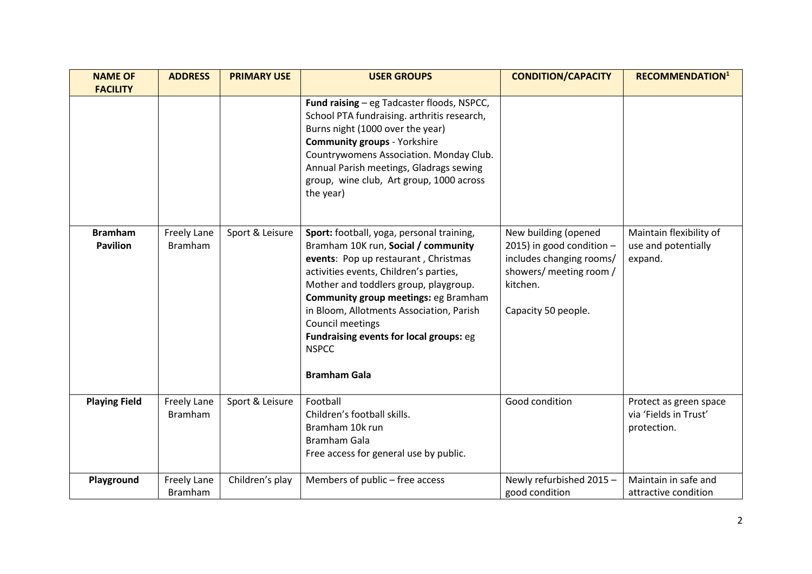| <b>NAME OF</b><br><b>FACILITY</b> | <b>ADDRESS</b>                       | <b>PRIMARY USE</b> | <b>USER GROUPS</b>                                                                                                                                                                                                                                                                                                                                                                                    | <b>CONDITION/CAPACITY</b>                                                                                                                   | <b>RECOMMENDATION1</b>                                         |
|-----------------------------------|--------------------------------------|--------------------|-------------------------------------------------------------------------------------------------------------------------------------------------------------------------------------------------------------------------------------------------------------------------------------------------------------------------------------------------------------------------------------------------------|---------------------------------------------------------------------------------------------------------------------------------------------|----------------------------------------------------------------|
|                                   |                                      |                    | Fund raising - eg Tadcaster floods, NSPCC,<br>School PTA fundraising. arthritis research,<br>Burns night (1000 over the year)<br><b>Community groups - Yorkshire</b><br>Countrywomens Association. Monday Club.<br>Annual Parish meetings, Gladrags sewing<br>group, wine club, Art group, 1000 across<br>the year)                                                                                   |                                                                                                                                             |                                                                |
| <b>Bramham</b><br><b>Pavilion</b> | <b>Freely Lane</b><br><b>Bramham</b> | Sport & Leisure    | Sport: football, yoga, personal training,<br>Bramham 10K run, Social / community<br>events: Pop up restaurant, Christmas<br>activities events, Children's parties,<br>Mother and toddlers group, playgroup.<br>Community group meetings: eg Bramham<br>in Bloom, Allotments Association, Parish<br>Council meetings<br>Fundraising events for local groups: eg<br><b>NSPCC</b><br><b>Bramham Gala</b> | New building (opened<br>2015) in good condition -<br>includes changing rooms/<br>showers/ meeting room /<br>kitchen.<br>Capacity 50 people. | Maintain flexibility of<br>use and potentially<br>expand.      |
| <b>Playing Field</b>              | <b>Freely Lane</b><br><b>Bramham</b> | Sport & Leisure    | Football<br>Children's football skills.<br>Bramham 10k run<br><b>Bramham Gala</b><br>Free access for general use by public.                                                                                                                                                                                                                                                                           | Good condition                                                                                                                              | Protect as green space<br>via 'Fields in Trust'<br>protection. |
| Playground                        | <b>Freely Lane</b><br><b>Bramham</b> | Children's play    | Members of public - free access                                                                                                                                                                                                                                                                                                                                                                       | Newly refurbished 2015 -<br>good condition                                                                                                  | Maintain in safe and<br>attractive condition                   |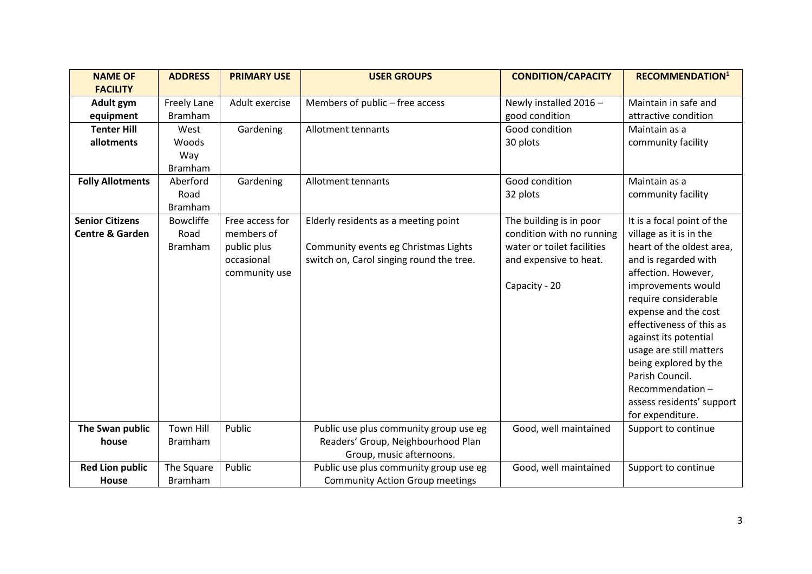| <b>NAME OF</b>             | <b>ADDRESS</b>     | <b>PRIMARY USE</b> | <b>USER GROUPS</b>                       | <b>CONDITION/CAPACITY</b>  | <b>RECOMMENDATION1</b>     |
|----------------------------|--------------------|--------------------|------------------------------------------|----------------------------|----------------------------|
| <b>FACILITY</b>            |                    |                    |                                          |                            |                            |
| Adult gym                  | <b>Freely Lane</b> | Adult exercise     | Members of public - free access          | Newly installed 2016 -     | Maintain in safe and       |
| equipment                  | <b>Bramham</b>     |                    |                                          | good condition             | attractive condition       |
| <b>Tenter Hill</b>         | West               | Gardening          | Allotment tennants                       | Good condition             | Maintain as a              |
| allotments                 | Woods              |                    |                                          | 30 plots                   | community facility         |
|                            | Way                |                    |                                          |                            |                            |
|                            | <b>Bramham</b>     |                    |                                          |                            |                            |
| <b>Folly Allotments</b>    | Aberford           | Gardening          | Allotment tennants                       | Good condition             | Maintain as a              |
|                            | Road               |                    |                                          | 32 plots                   | community facility         |
|                            | <b>Bramham</b>     |                    |                                          |                            |                            |
| <b>Senior Citizens</b>     | <b>Bowcliffe</b>   | Free access for    | Elderly residents as a meeting point     | The building is in poor    | It is a focal point of the |
| <b>Centre &amp; Garden</b> | Road               | members of         |                                          | condition with no running  | village as it is in the    |
|                            | <b>Bramham</b>     | public plus        | Community events eg Christmas Lights     | water or toilet facilities | heart of the oldest area,  |
|                            |                    | occasional         | switch on, Carol singing round the tree. | and expensive to heat.     | and is regarded with       |
|                            |                    | community use      |                                          |                            | affection. However,        |
|                            |                    |                    |                                          | Capacity - 20              | improvements would         |
|                            |                    |                    |                                          |                            | require considerable       |
|                            |                    |                    |                                          |                            | expense and the cost       |
|                            |                    |                    |                                          |                            | effectiveness of this as   |
|                            |                    |                    |                                          |                            | against its potential      |
|                            |                    |                    |                                          |                            | usage are still matters    |
|                            |                    |                    |                                          |                            | being explored by the      |
|                            |                    |                    |                                          |                            | Parish Council.            |
|                            |                    |                    |                                          |                            | Recommendation-            |
|                            |                    |                    |                                          |                            | assess residents' support  |
|                            |                    |                    |                                          |                            | for expenditure.           |
| The Swan public            | <b>Town Hill</b>   | Public             | Public use plus community group use eg   | Good, well maintained      | Support to continue        |
| house                      | <b>Bramham</b>     |                    | Readers' Group, Neighbourhood Plan       |                            |                            |
|                            |                    |                    | Group, music afternoons.                 |                            |                            |
| <b>Red Lion public</b>     | The Square         | Public             | Public use plus community group use eg   | Good, well maintained      | Support to continue        |
| House                      | <b>Bramham</b>     |                    | <b>Community Action Group meetings</b>   |                            |                            |